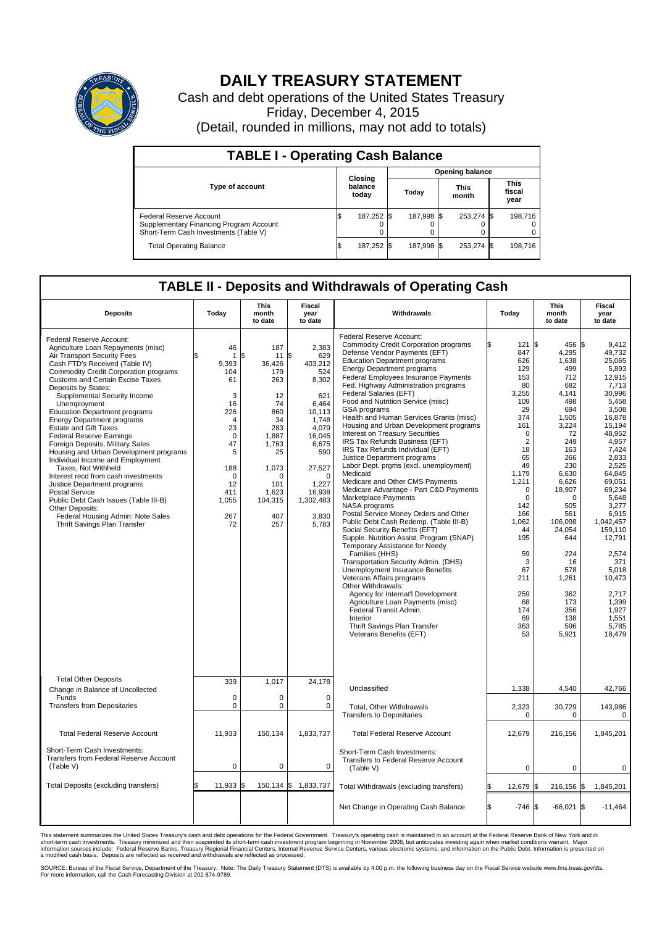

## **DAILY TREASURY STATEMENT**

Cash and debt operations of the United States Treasury Friday, December 4, 2015 (Detail, rounded in millions, may not add to totals)

| <b>TABLE I - Operating Cash Balance</b>                                                                     |  |                             |  |                        |  |                      |  |                               |  |  |  |
|-------------------------------------------------------------------------------------------------------------|--|-----------------------------|--|------------------------|--|----------------------|--|-------------------------------|--|--|--|
|                                                                                                             |  |                             |  | <b>Opening balance</b> |  |                      |  |                               |  |  |  |
| <b>Type of account</b>                                                                                      |  | Closing<br>balance<br>today |  | Today                  |  | <b>This</b><br>month |  | <b>This</b><br>fiscal<br>year |  |  |  |
| Federal Reserve Account<br>Supplementary Financing Program Account<br>Short-Term Cash Investments (Table V) |  | 187,252                     |  | 187.998 \$             |  | 253,274 \$           |  | 198,716                       |  |  |  |
| <b>Total Operating Balance</b>                                                                              |  | 187,252 \$                  |  | 187,998 \$             |  | 253,274 \$           |  | 198,716                       |  |  |  |

## **TABLE II - Deposits and Withdrawals of Operating Cash**

| <b>Deposits</b>                                                                                                                                                                                                                                                                                                                                                                                                                                                                                                                                                                                                                                                                                                                                                                                                            | Today                                                                                                                                                                 | <b>This</b><br>month<br>to date                                                                                                                               | <b>Fiscal</b><br>year<br>to date                                                                                                                                                            | Withdrawals                                                                                                                                                                                                                                                                                                                                                                                                                                                                                                                                                                                                                                                                                                                                                                                                                                                                                                                                                                                                                                                                                                                                                                                                                                                                                 | Today                                                                                                                                                                                                                                                                         | <b>This</b><br>month<br>to date                                                                                                                                                                                                                                                     | Fiscal<br>year<br>to date                                                                                                                                                                                                                                                                                                                |  |
|----------------------------------------------------------------------------------------------------------------------------------------------------------------------------------------------------------------------------------------------------------------------------------------------------------------------------------------------------------------------------------------------------------------------------------------------------------------------------------------------------------------------------------------------------------------------------------------------------------------------------------------------------------------------------------------------------------------------------------------------------------------------------------------------------------------------------|-----------------------------------------------------------------------------------------------------------------------------------------------------------------------|---------------------------------------------------------------------------------------------------------------------------------------------------------------|---------------------------------------------------------------------------------------------------------------------------------------------------------------------------------------------|---------------------------------------------------------------------------------------------------------------------------------------------------------------------------------------------------------------------------------------------------------------------------------------------------------------------------------------------------------------------------------------------------------------------------------------------------------------------------------------------------------------------------------------------------------------------------------------------------------------------------------------------------------------------------------------------------------------------------------------------------------------------------------------------------------------------------------------------------------------------------------------------------------------------------------------------------------------------------------------------------------------------------------------------------------------------------------------------------------------------------------------------------------------------------------------------------------------------------------------------------------------------------------------------|-------------------------------------------------------------------------------------------------------------------------------------------------------------------------------------------------------------------------------------------------------------------------------|-------------------------------------------------------------------------------------------------------------------------------------------------------------------------------------------------------------------------------------------------------------------------------------|------------------------------------------------------------------------------------------------------------------------------------------------------------------------------------------------------------------------------------------------------------------------------------------------------------------------------------------|--|
| Federal Reserve Account:<br>Agriculture Loan Repayments (misc)<br>Air Transport Security Fees<br>Cash FTD's Received (Table IV)<br><b>Commodity Credit Corporation programs</b><br><b>Customs and Certain Excise Taxes</b><br>Deposits by States:<br>Supplemental Security Income<br>Unemployment<br><b>Education Department programs</b><br><b>Energy Department programs</b><br><b>Estate and Gift Taxes</b><br><b>Federal Reserve Earnings</b><br>Foreign Deposits, Military Sales<br>Housing and Urban Development programs<br>Individual Income and Employment<br>Taxes, Not Withheld<br>Interest recd from cash investments<br>Justice Department programs<br><b>Postal Service</b><br>Public Debt Cash Issues (Table III-B)<br>Other Deposits:<br>Federal Housing Admin: Note Sales<br>Thrift Savings Plan Transfer | 46<br>$\mathbf{1}$<br>9.393<br>104<br>61<br>3<br>16<br>226<br>$\overline{4}$<br>23<br>$\mathbf 0$<br>47<br>5<br>188<br>$\mathbf 0$<br>12<br>411<br>1,055<br>267<br>72 | 187<br>\$<br>11<br>36.426<br>179<br>263<br>12<br>74<br>860<br>34<br>283<br>1,887<br>1,763<br>25<br>1,073<br>$\Omega$<br>101<br>1,623<br>104,315<br>407<br>257 | 2,383<br>\$<br>629<br>403.212<br>524<br>8,302<br>621<br>6,464<br>10.113<br>1,748<br>4,079<br>16,045<br>6,675<br>590<br>27,527<br>$\Omega$<br>1.227<br>16,938<br>1,302,483<br>3,830<br>5,783 | Federal Reserve Account:<br><b>Commodity Credit Corporation programs</b><br>Defense Vendor Payments (EFT)<br><b>Education Department programs</b><br><b>Energy Department programs</b><br>Federal Employees Insurance Payments<br>Fed. Highway Administration programs<br>Federal Salaries (EFT)<br>Food and Nutrition Service (misc)<br>GSA programs<br>Health and Human Services Grants (misc)<br>Housing and Urban Development programs<br>Interest on Treasury Securities<br>IRS Tax Refunds Business (EFT)<br>IRS Tax Refunds Individual (EFT)<br>Justice Department programs<br>Labor Dept. prgms (excl. unemployment)<br>Medicaid<br>Medicare and Other CMS Payments<br>Medicare Advantage - Part C&D Payments<br>Marketplace Payments<br>NASA programs<br>Postal Service Money Orders and Other<br>Public Debt Cash Redemp. (Table III-B)<br>Social Security Benefits (EFT)<br>Supple. Nutrition Assist. Program (SNAP)<br>Temporary Assistance for Needy<br>Families (HHS)<br>Transportation Security Admin. (DHS)<br>Unemployment Insurance Benefits<br>Veterans Affairs programs<br>Other Withdrawals:<br>Agency for Internat'l Development<br>Agriculture Loan Payments (misc)<br>Federal Transit Admin.<br>Interior<br>Thrift Savings Plan Transfer<br>Veterans Benefits (EFT) | 121S<br>847<br>626<br>129<br>153<br>80<br>3,255<br>109<br>29<br>374<br>161<br>$\mathbf 0$<br>$\overline{2}$<br>18<br>65<br>49<br>1,179<br>1,211<br>$\mathbf 0$<br>$\Omega$<br>142<br>166<br>1,062<br>44<br>195<br>59<br>3<br>67<br>211<br>259<br>68<br>174<br>69<br>363<br>53 | 456 \$<br>4,295<br>1,638<br>499<br>712<br>682<br>4,141<br>498<br>694<br>1,505<br>3,224<br>72<br>249<br>163<br>266<br>230<br>6,630<br>6,626<br>18,907<br>$\Omega$<br>505<br>561<br>106.098<br>24,054<br>644<br>224<br>16<br>578<br>1,261<br>362<br>173<br>356<br>138<br>596<br>5,921 | 9.412<br>49,732<br>25,065<br>5,893<br>12,915<br>7,713<br>30.996<br>5,458<br>3,508<br>16.878<br>15,194<br>48,952<br>4,957<br>7,424<br>2,833<br>2,525<br>64,845<br>69,051<br>69.234<br>5,648<br>3.277<br>6,915<br>1.042.457<br>159,110<br>12,791<br>2,574<br>371<br>5,018<br>10,473<br>2.717<br>1,399<br>1,927<br>1,551<br>5,785<br>18,479 |  |
| <b>Total Other Deposits</b><br>Change in Balance of Uncollected                                                                                                                                                                                                                                                                                                                                                                                                                                                                                                                                                                                                                                                                                                                                                            | 339                                                                                                                                                                   | 1,017                                                                                                                                                         | 24,178                                                                                                                                                                                      | Unclassified                                                                                                                                                                                                                                                                                                                                                                                                                                                                                                                                                                                                                                                                                                                                                                                                                                                                                                                                                                                                                                                                                                                                                                                                                                                                                | 1,338                                                                                                                                                                                                                                                                         | 4,540                                                                                                                                                                                                                                                                               | 42,766                                                                                                                                                                                                                                                                                                                                   |  |
| Funds<br><b>Transfers from Depositaries</b>                                                                                                                                                                                                                                                                                                                                                                                                                                                                                                                                                                                                                                                                                                                                                                                | $\mathbf 0$<br>$\mathbf 0$                                                                                                                                            | $\Omega$<br>0                                                                                                                                                 | $\mathbf 0$<br>$\mathbf 0$                                                                                                                                                                  | <b>Total, Other Withdrawals</b><br><b>Transfers to Depositaries</b>                                                                                                                                                                                                                                                                                                                                                                                                                                                                                                                                                                                                                                                                                                                                                                                                                                                                                                                                                                                                                                                                                                                                                                                                                         | 2,323<br>$\mathbf 0$                                                                                                                                                                                                                                                          | 30,729<br>$\mathbf 0$                                                                                                                                                                                                                                                               | 143,986<br>$\pmb{0}$                                                                                                                                                                                                                                                                                                                     |  |
| <b>Total Federal Reserve Account</b>                                                                                                                                                                                                                                                                                                                                                                                                                                                                                                                                                                                                                                                                                                                                                                                       | 11,933                                                                                                                                                                | 150,134                                                                                                                                                       | 1,833,737                                                                                                                                                                                   | <b>Total Federal Reserve Account</b>                                                                                                                                                                                                                                                                                                                                                                                                                                                                                                                                                                                                                                                                                                                                                                                                                                                                                                                                                                                                                                                                                                                                                                                                                                                        | 12,679                                                                                                                                                                                                                                                                        | 216,156                                                                                                                                                                                                                                                                             | 1,845,201                                                                                                                                                                                                                                                                                                                                |  |
| Short-Term Cash Investments:<br><b>Transfers from Federal Reserve Account</b><br>(Table V)                                                                                                                                                                                                                                                                                                                                                                                                                                                                                                                                                                                                                                                                                                                                 | $\pmb{0}$                                                                                                                                                             | 0                                                                                                                                                             | 0                                                                                                                                                                                           | Short-Term Cash Investments:<br>Transfers to Federal Reserve Account<br>(Table V)                                                                                                                                                                                                                                                                                                                                                                                                                                                                                                                                                                                                                                                                                                                                                                                                                                                                                                                                                                                                                                                                                                                                                                                                           | 0                                                                                                                                                                                                                                                                             | 0                                                                                                                                                                                                                                                                                   | 0                                                                                                                                                                                                                                                                                                                                        |  |
| Total Deposits (excluding transfers)                                                                                                                                                                                                                                                                                                                                                                                                                                                                                                                                                                                                                                                                                                                                                                                       | 11,933                                                                                                                                                                | 150,134 \$                                                                                                                                                    | 1,833,737                                                                                                                                                                                   | Total Withdrawals (excluding transfers)                                                                                                                                                                                                                                                                                                                                                                                                                                                                                                                                                                                                                                                                                                                                                                                                                                                                                                                                                                                                                                                                                                                                                                                                                                                     | 12,679 \$                                                                                                                                                                                                                                                                     | 216,156 \$                                                                                                                                                                                                                                                                          | 1,845,201                                                                                                                                                                                                                                                                                                                                |  |
|                                                                                                                                                                                                                                                                                                                                                                                                                                                                                                                                                                                                                                                                                                                                                                                                                            |                                                                                                                                                                       |                                                                                                                                                               |                                                                                                                                                                                             | Net Change in Operating Cash Balance                                                                                                                                                                                                                                                                                                                                                                                                                                                                                                                                                                                                                                                                                                                                                                                                                                                                                                                                                                                                                                                                                                                                                                                                                                                        | $-746$ \$                                                                                                                                                                                                                                                                     | $-66,021$                                                                                                                                                                                                                                                                           | 1\$<br>$-11,464$                                                                                                                                                                                                                                                                                                                         |  |

This statement summarizes the United States Treasury's cash and debt operations for the Federal Government. Treasury's operating cash is maintained in an account at the Federal Reserve Bank of New York and in<br>short-term ca

SOURCE: Bureau of the Fiscal Service, Department of the Treasury. Note: The Daily Treasury Statement (DTS) is available by 4:00 p.m. the following business day on the Fiscal Service website www.fms.treas.gov/dts.<br>For more